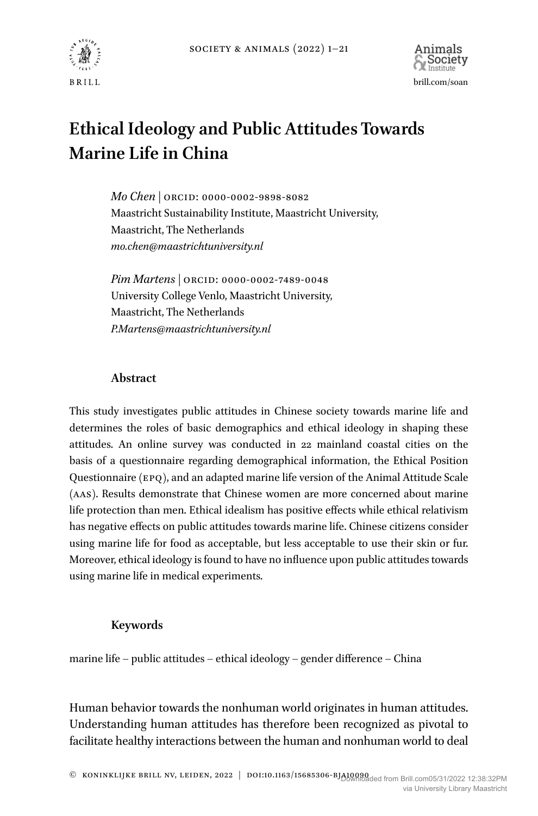



# **Ethical Ideology and Public Attitudes Towards Marine Life in China**

*Mo Chen |* ORCID: 0000-0002-9898-8082 Maastricht Sustainability Institute, Maastricht University, Maastricht, The Netherlands *[mo.chen@maastrichtuniversity.nl](mailto:mo.chen@maastrichtuniversity.nl)*

*Pim Martens |* ORCID: 0000-0002-7489-0048 University College Venlo, Maastricht University, Maastricht, The Netherlands *P.Martens@maastrichtuniversity.nl*

# **Abstract**

This study investigates public attitudes in Chinese society towards marine life and determines the roles of basic demographics and ethical ideology in shaping these attitudes. An online survey was conducted in 22 mainland coastal cities on the basis of a questionnaire regarding demographical information, the Ethical Position Questionnaire (EPQ), and an adapted marine life version of the Animal Attitude Scale (AAS). Results demonstrate that Chinese women are more concerned about marine life protection than men. Ethical idealism has positive effects while ethical relativism has negative effects on public attitudes towards marine life. Chinese citizens consider using marine life for food as acceptable, but less acceptable to use their skin or fur. Moreover, ethical ideology is found to have no influence upon public attitudes towards using marine life in medical experiments.

# **Keywords**

marine life – public attitudes – ethical ideology – gender difference – China

Human behavior towards the nonhuman world originates in human attitudes. Understanding human attitudes has therefore been recognized as pivotal to facilitate healthy interactions between the human and nonhuman world to deal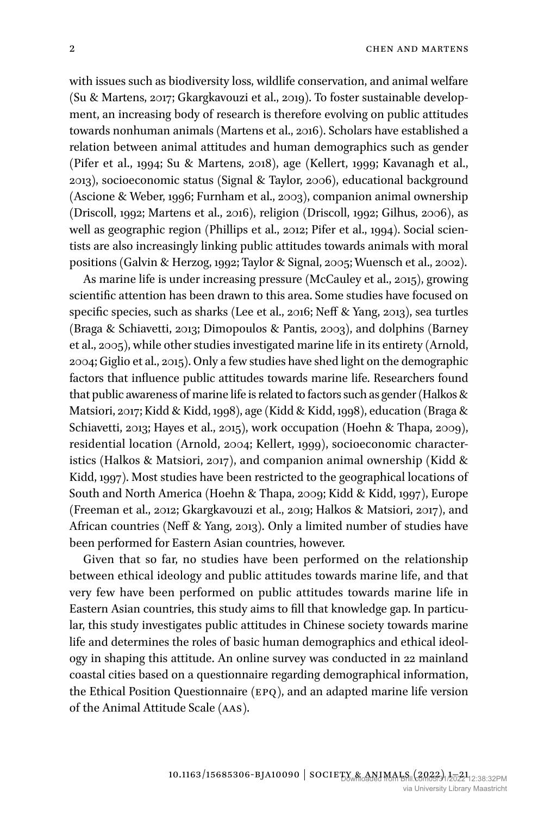with issues such as biodiversity loss, wildlife conservation, and animal welfare (Su & Martens, 2017; Gkargkavouzi et al., 2019). To foster sustainable development, an increasing body of research is therefore evolving on public attitudes towards nonhuman animals (Martens et al., 2016). Scholars have established a relation between animal attitudes and human demographics such as gender (Pifer et al., 1994; Su & Martens, 2018), age (Kellert, 1999; Kavanagh et al., 2013), socioeconomic status (Signal & Taylor, 2006), educational background (Ascione & Weber, 1996; Furnham et al., 2003), companion animal ownership (Driscoll, 1992; Martens et al., 2016), religion (Driscoll, 1992; Gilhus, 2006), as well as geographic region (Phillips et al., 2012; Pifer et al., 1994). Social scientists are also increasingly linking public attitudes towards animals with moral positions (Galvin & Herzog, 1992; Taylor & Signal, 2005; Wuensch et al., 2002).

As marine life is under increasing pressure (McCauley et al., 2015), growing scientific attention has been drawn to this area. Some studies have focused on specific species, such as sharks (Lee et al., 2016; Neff & Yang, 2013), sea turtles (Braga & Schiavetti, 2013; Dimopoulos & Pantis, 2003), and dolphins (Barney et al., 2005), while other studies investigated marine life in its entirety (Arnold, 2004; Giglio et al., 2015). Only a few studies have shed light on the demographic factors that influence public attitudes towards marine life. Researchers found that public awareness of marine life is related to factors such as gender (Halkos & Matsiori, 2017; Kidd & Kidd, 1998), age (Kidd & Kidd, 1998), education (Braga & Schiavetti, 2013; Hayes et al., 2015), work occupation (Hoehn & Thapa, 2009), residential location (Arnold, 2004; Kellert, 1999), socioeconomic characteristics (Halkos & Matsiori, 2017), and companion animal ownership (Kidd & Kidd, 1997). Most studies have been restricted to the geographical locations of South and North America (Hoehn & Thapa, 2009; Kidd & Kidd, 1997), Europe (Freeman et al., 2012; Gkargkavouzi et al., 2019; Halkos & Matsiori, 2017), and African countries (Neff & Yang, 2013). Only a limited number of studies have been performed for Eastern Asian countries, however.

Given that so far, no studies have been performed on the relationship between ethical ideology and public attitudes towards marine life, and that very few have been performed on public attitudes towards marine life in Eastern Asian countries, this study aims to fill that knowledge gap. In particular, this study investigates public attitudes in Chinese society towards marine life and determines the roles of basic human demographics and ethical ideology in shaping this attitude. An online survey was conducted in 22 mainland coastal cities based on a questionnaire regarding demographical information, the Ethical Position Questionnaire (EPQ), and an adapted marine life version of the Animal Attitude Scale (AAS).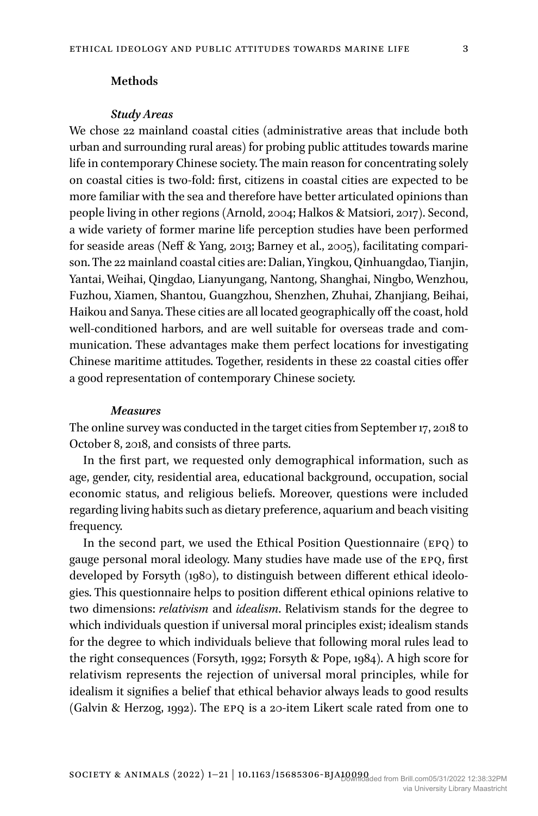# **Methods**

#### *Study Areas*

We chose 22 mainland coastal cities (administrative areas that include both urban and surrounding rural areas) for probing public attitudes towards marine life in contemporary Chinese society. The main reason for concentrating solely on coastal cities is two-fold: first, citizens in coastal cities are expected to be more familiar with the sea and therefore have better articulated opinions than people living in other regions (Arnold, 2004; Halkos & Matsiori, 2017). Second, a wide variety of former marine life perception studies have been performed for seaside areas (Neff & Yang, 2013; Barney et al., 2005), facilitating comparison. The 22 mainland coastal cities are: Dalian, Yingkou, Qinhuangdao, Tianjin, Yantai, Weihai, Qingdao, Lianyungang, Nantong, Shanghai, Ningbo, Wenzhou, Fuzhou, Xiamen, Shantou, Guangzhou, Shenzhen, Zhuhai, Zhanjiang, Beihai, Haikou and Sanya. These cities are all located geographically off the coast, hold well-conditioned harbors, and are well suitable for overseas trade and communication. These advantages make them perfect locations for investigating Chinese maritime attitudes. Together, residents in these 22 coastal cities offer a good representation of contemporary Chinese society.

#### *Measures*

The online survey was conducted in the target cities from September 17, 2018 to October 8, 2018, and consists of three parts.

In the first part, we requested only demographical information, such as age, gender, city, residential area, educational background, occupation, social economic status, and religious beliefs. Moreover, questions were included regarding living habits such as dietary preference, aquarium and beach visiting frequency.

In the second part, we used the Ethical Position Questionnaire (EPQ) to gauge personal moral ideology. Many studies have made use of the EPQ, first developed by Forsyth (1980), to distinguish between different ethical ideologies. This questionnaire helps to position different ethical opinions relative to two dimensions: *relativism* and *idealism*. Relativism stands for the degree to which individuals question if universal moral principles exist; idealism stands for the degree to which individuals believe that following moral rules lead to the right consequences (Forsyth, 1992; Forsyth & Pope, 1984). A high score for relativism represents the rejection of universal moral principles, while for idealism it signifies a belief that ethical behavior always leads to good results (Galvin & Herzog, 1992). The EPQ is a 20-item Likert scale rated from one to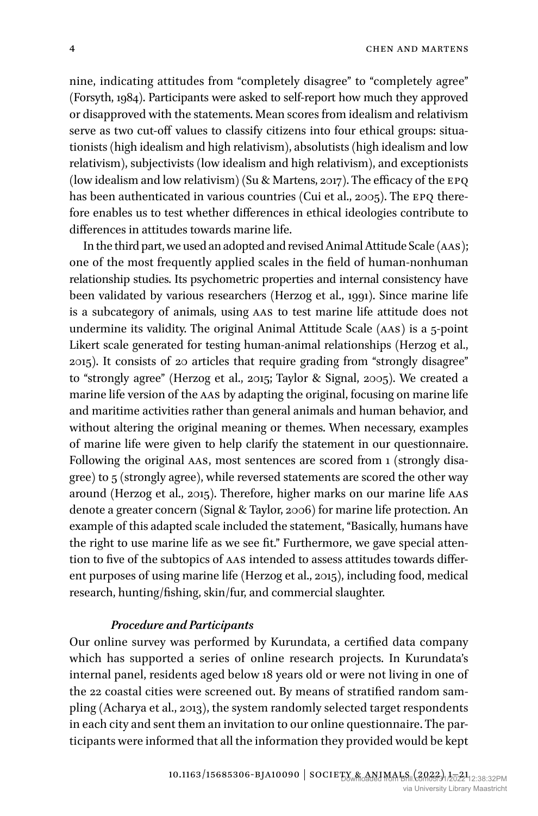nine, indicating attitudes from "completely disagree" to "completely agree" (Forsyth, 1984). Participants were asked to self-report how much they approved or disapproved with the statements. Mean scores from idealism and relativism serve as two cut-off values to classify citizens into four ethical groups: situationists (high idealism and high relativism), absolutists (high idealism and low relativism), subjectivists (low idealism and high relativism), and exceptionists (low idealism and low relativism) (Su & Martens, 2017). The efficacy of the EPQ has been authenticated in various countries (Cui et al., 2005). The EPQ therefore enables us to test whether differences in ethical ideologies contribute to differences in attitudes towards marine life.

In the third part, we used an adopted and revised Animal Attitude Scale (AAS); one of the most frequently applied scales in the field of human-nonhuman relationship studies. Its psychometric properties and internal consistency have been validated by various researchers (Herzog et al., 1991). Since marine life is a subcategory of animals, using AAS to test marine life attitude does not undermine its validity. The original Animal Attitude Scale (AAS) is a 5-point Likert scale generated for testing human-animal relationships (Herzog et al., 2015). It consists of 20 articles that require grading from "strongly disagree" to "strongly agree" (Herzog et al., 2015; Taylor & Signal, 2005). We created a marine life version of the AAS by adapting the original, focusing on marine life and maritime activities rather than general animals and human behavior, and without altering the original meaning or themes. When necessary, examples of marine life were given to help clarify the statement in our questionnaire. Following the original AAS, most sentences are scored from 1 (strongly disagree) to 5 (strongly agree), while reversed statements are scored the other way around (Herzog et al., 2015). Therefore, higher marks on our marine life AAS denote a greater concern (Signal & Taylor, 2006) for marine life protection. An example of this adapted scale included the statement, "Basically, humans have the right to use marine life as we see fit." Furthermore, we gave special attention to five of the subtopics of AAS intended to assess attitudes towards different purposes of using marine life (Herzog et al., 2015), including food, medical research, hunting/fishing, skin/fur, and commercial slaughter.

#### *Procedure and Participants*

Our online survey was performed by Kurundata, a certified data company which has supported a series of online research projects. In Kurundata's internal panel, residents aged below 18 years old or were not living in one of the 22 coastal cities were screened out. By means of stratified random sampling (Acharya et al., 2013), the system randomly selected target respondents in each city and sent them an invitation to our online questionnaire. The participants were informed that all the information they provided would be kept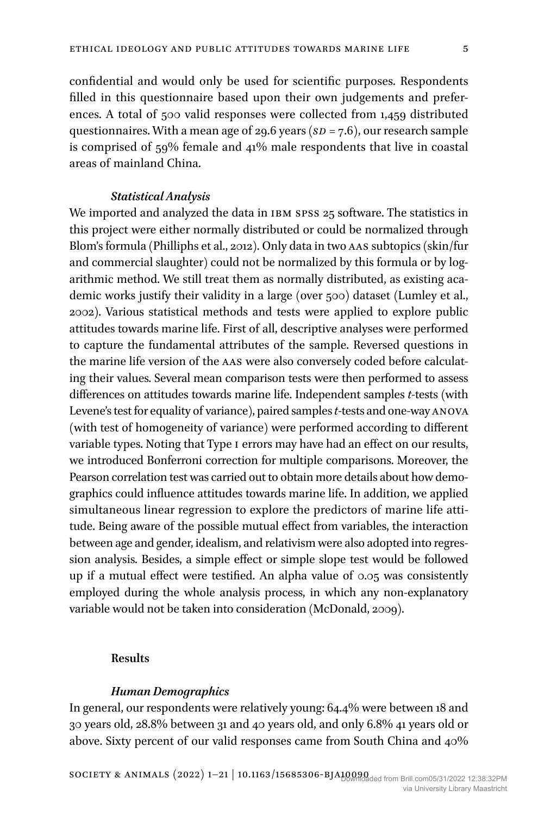confidential and would only be used for scientific purposes. Respondents filled in this questionnaire based upon their own judgements and preferences. A total of 500 valid responses were collected from 1,459 distributed questionnaires. With a mean age of 29.6 years (*SD* = 7.6), our research sample is comprised of 59% female and 41% male respondents that live in coastal areas of mainland China.

#### *Statistical Analysis*

We imported and analyzed the data in IBM SPSS 25 software. The statistics in this project were either normally distributed or could be normalized through Blom's formula (Philliphs et al., 2012). Only data in two AAS subtopics (skin/fur and commercial slaughter) could not be normalized by this formula or by logarithmic method. We still treat them as normally distributed, as existing academic works justify their validity in a large (over 500) dataset (Lumley et al., 2002). Various statistical methods and tests were applied to explore public attitudes towards marine life. First of all, descriptive analyses were performed to capture the fundamental attributes of the sample. Reversed questions in the marine life version of the AAS were also conversely coded before calculating their values. Several mean comparison tests were then performed to assess differences on attitudes towards marine life. Independent samples *t*-tests (with Levene's test for equality of variance), paired samples *t*-tests and one-way ANOVA (with test of homogeneity of variance) were performed according to different variable types. Noting that Type I errors may have had an effect on our results, we introduced Bonferroni correction for multiple comparisons. Moreover, the Pearson correlation test was carried out to obtain more details about how demographics could influence attitudes towards marine life. In addition, we applied simultaneous linear regression to explore the predictors of marine life attitude. Being aware of the possible mutual effect from variables, the interaction between age and gender, idealism, and relativism were also adopted into regression analysis. Besides, a simple effect or simple slope test would be followed up if a mutual effect were testified. An alpha value of 0.05 was consistently employed during the whole analysis process, in which any non-explanatory variable would not be taken into consideration (McDonald, 2009).

#### **Results**

#### *Human Demographics*

In general, our respondents were relatively young: 64.4% were between 18 and 30 years old, 28.8% between 31 and 40 years old, and only 6.8% 41 years old or above. Sixty percent of our valid responses came from South China and 40%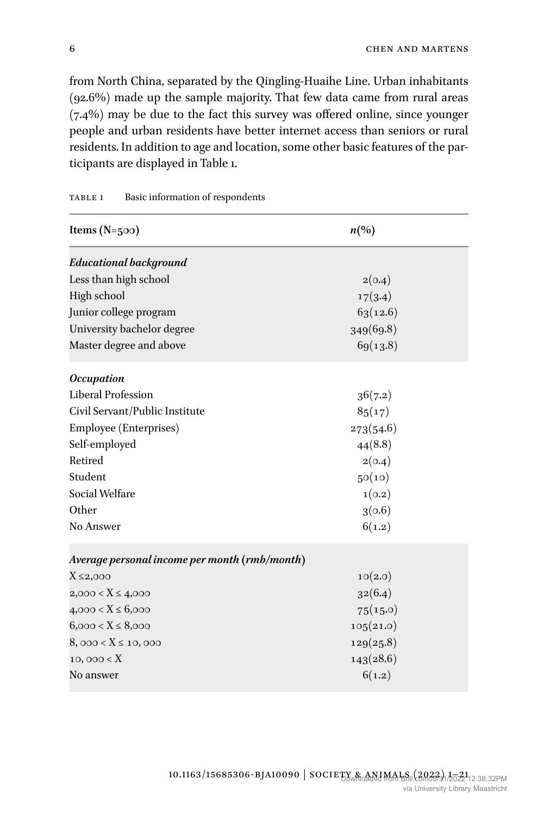from North China, separated by the Qingling-Huaihe Line. Urban inhabitants (92.6%) made up the sample majority. That few data came from rural areas (7.4%) may be due to the fact this survey was offered online, since younger people and urban residents have better internet access than seniors or rural residents. In addition to age and location, some other basic features of the participants are displayed in Table 1.

| Items ( $N=500$ )                             | $n\left(\%\right)$ |
|-----------------------------------------------|--------------------|
| Educational background                        |                    |
| Less than high school                         | 2(0.4)             |
| High school                                   | 17(3.4)            |
| Junior college program                        | 63(12.6)           |
| University bachelor degree                    | 349(69.8)          |
| Master degree and above                       | 69(13.8)           |
| <b>Occupation</b>                             |                    |
| Liberal Profession                            | 36(7.2)            |
| Civil Servant/Public Institute                | 85(17)             |
| Employee (Enterprises)                        | 273(54.6)          |
| Self-employed                                 | 44(8.8)            |
| Retired                                       | 2(0.4)             |
| Student                                       | 50(10)             |
| Social Welfare                                | 1(0.2)             |
| Other                                         | 3(0.6)             |
| No Answer                                     | 6(1.2)             |
| Average personal income per month (rmb/month) |                    |
| $X \leq 2,000$                                | 10(2.0)            |
| $2,000 < X \leq 4,000$                        | 32(6.4)            |
| $4,000 < X \leq 6,000$                        | 75(15.0)           |
| $6,000 < X \leq 8,000$                        | 105(21.0)          |
| $8,000 < X \le 10,000$                        | 129(25.8)          |
| 10,000 < X                                    | 143(28.6)          |
| No answer                                     | 6(1.2)             |

## TABLE 1 Basic information of respondents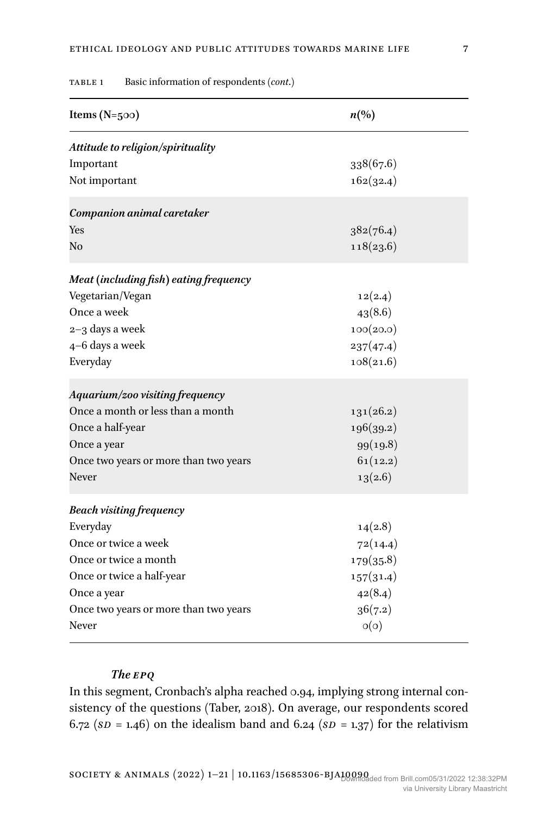| Items $(N=500)$                        | $n\left(\%\right)$ |
|----------------------------------------|--------------------|
| Attitude to religion/spirituality      |                    |
| Important                              | 338(67.6)          |
| Not important                          | 162(32.4)          |
| Companion animal caretaker             |                    |
| Yes                                    | 382(76.4)          |
| No                                     | 118(23.6)          |
| Meat (including fish) eating frequency |                    |
| Vegetarian/Vegan                       | 12(2.4)            |
| Once a week                            | 43(8.6)            |
| $2 - 3$ days a week                    | 100(20.0)          |
| 4-6 days a week                        | 237(47.4)          |
| Everyday                               | 108(21.6)          |
| Aquarium/zoo visiting frequency        |                    |
| Once a month or less than a month      | 131(26.2)          |
| Once a half-year                       | 196(39.2)          |
| Once a year                            | 99(19.8)           |
| Once two years or more than two years  | 61(12.2)           |
| Never                                  | 13(2.6)            |
| <b>Beach visiting frequency</b>        |                    |
| Everyday                               | 14(2.8)            |
| Once or twice a week                   | 72(14.4)           |
| Once or twice a month                  | 179(35.8)          |
| Once or twice a half-year              | 157(31.4)          |
| Once a year                            | 42(8.4)            |
| Once two years or more than two years  | 36(7.2)            |
| Never                                  | O(O)               |

#### Table 1 Basic information of respondents (*cont*.)

# *The EPQ*

In this segment, Cronbach's alpha reached 0.94, implying strong internal consistency of the questions (Taber, 2018). On average, our respondents scored 6.72 ( $SD = 1.46$ ) on the idealism band and 6.24 ( $SD = 1.37$ ) for the relativism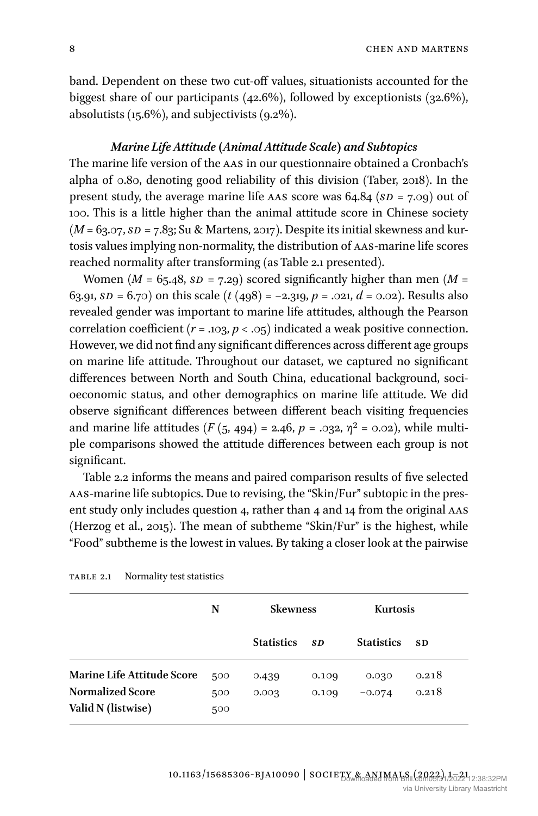band. Dependent on these two cut-off values, situationists accounted for the biggest share of our participants (42.6%), followed by exceptionists (32.6%), absolutists (15.6%), and subjectivists (9.2%).

#### *Marine Life Attitude (Animal Attitude Scale) and Subtopics*

The marine life version of the AAS in our questionnaire obtained a Cronbach's alpha of 0.80, denoting good reliability of this division (Taber, 2018). In the present study, the average marine life AAS score was 64.84 (*SD* = 7.09) out of 100. This is a little higher than the animal attitude score in Chinese society (*M* = 63.07, *SD* = 7.83; Su & Martens, 2017). Despite its initial skewness and kurtosis values implying non-normality, the distribution of AAS-marine life scores reached normality after transforming (as Table 2.1 presented).

Women ( $M = 65.48$ ,  $SD = 7.29$ ) scored significantly higher than men ( $M =$ 63.91,  $SD = 6.70$  on this scale  $(t (498) = -2.319, p = .021, d = 0.02)$ . Results also revealed gender was important to marine life attitudes, although the Pearson correlation coefficient  $(r = .103, p < .05)$  indicated a weak positive connection. However, we did not find any significant differences across different age groups on marine life attitude. Throughout our dataset, we captured no significant differences between North and South China, educational background, socioeconomic status, and other demographics on marine life attitude. We did observe significant differences between different beach visiting frequencies and marine life attitudes  $(F (5, 494) = 2.46, p = .032, \eta^2 = 0.02)$ , while multiple comparisons showed the attitude differences between each group is not significant.

Table 2.2 informs the means and paired comparison results of five selected AAS-marine life subtopics. Due to revising, the "Skin/Fur" subtopic in the present study only includes question 4, rather than 4 and 14 from the original AAS (Herzog et al., 2015). The mean of subtheme "Skin/Fur" is the highest, while "Food" subtheme is the lowest in values. By taking a closer look at the pairwise

|                                               | N          | <b>Skewness</b>   |       | <b>Kurtosis</b>   |           |
|-----------------------------------------------|------------|-------------------|-------|-------------------|-----------|
|                                               |            | <b>Statistics</b> | SD    | <b>Statistics</b> | <b>SD</b> |
| <b>Marine Life Attitude Score</b>             | 500        | 0.439             | 0.109 | 0.030             | 0.218     |
| <b>Normalized Score</b><br>Valid N (listwise) | 500<br>500 | 0.003             | 0.109 | $-0.074$          | 0.218     |

Table 2.1 Normality test statistics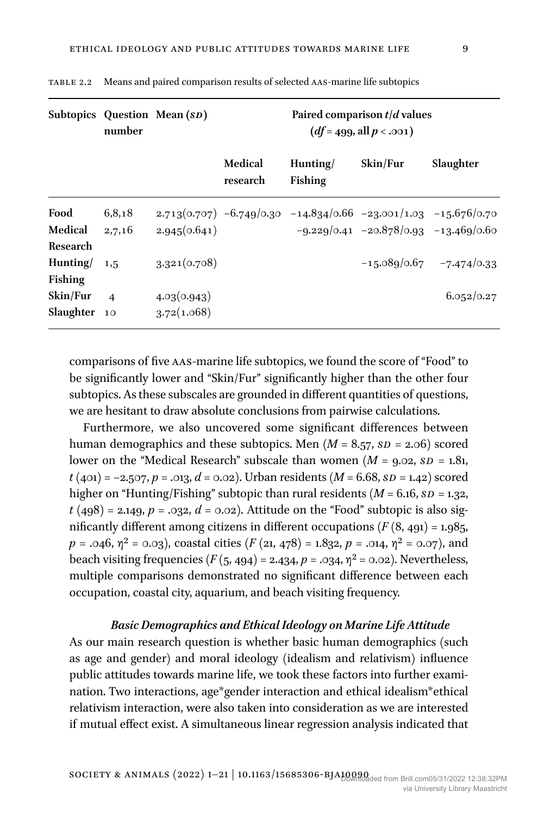|                                   | number         | Subtopics Question Mean (SD) | Paired comparison $t/d$ values<br>$(df = 499, all p < .001)$ |                                                                   |                                             |                              |  |
|-----------------------------------|----------------|------------------------------|--------------------------------------------------------------|-------------------------------------------------------------------|---------------------------------------------|------------------------------|--|
|                                   |                |                              | Medical<br>research                                          | Hunting/<br>Fishing                                               | Skin/Fur                                    | Slaughter                    |  |
| Food                              | 6,8,18         |                              |                                                              | $2.713(0.707)$ -6.749/0.30 -14.834/0.66 -23.001/1.03 -15.676/0.70 |                                             |                              |  |
| Medical<br>Research               | 2,7,16         | 2.945(0.641)                 |                                                              |                                                                   | $-9.229/0.41$ $-20.878/0.93$ $-13.469/0.60$ |                              |  |
| Hunting $/$ 1,5<br><b>Fishing</b> |                | 3.321(0.708)                 |                                                              |                                                                   |                                             | $-15.089/0.67$ $-7.474/0.33$ |  |
| Skin/Fur                          | $\overline{4}$ | 4.03(0.943)                  |                                                              |                                                                   |                                             | 6.052/0.27                   |  |
| Slaughter 10                      |                | 3.72(1.068)                  |                                                              |                                                                   |                                             |                              |  |

Table 2.2 Means and paired comparison results of selected AAS-marine life subtopics

comparisons of five AAS-marine life subtopics, we found the score of "Food" to be significantly lower and "Skin/Fur" significantly higher than the other four subtopics. As these subscales are grounded in different quantities of questions, we are hesitant to draw absolute conclusions from pairwise calculations.

Furthermore, we also uncovered some significant differences between human demographics and these subtopics. Men (*M* = 8.57, *SD* = 2.06) scored lower on the "Medical Research" subscale than women (*M* = 9.02, *SD* = 1.81, *t* (401) = −2.507, *p* = .013, *d* = 0.02). Urban residents (*M* = 6.68, *SD* = 1.42) scored higher on "Hunting/Fishing" subtopic than rural residents (*M* = 6.16, *SD* = 1.32,  $t(498) = 2.149, p = .032, d = 0.02$ . Attitude on the "Food" subtopic is also significantly different among citizens in different occupations  $(F(8, 491) = 1.985,$  $p = .046$ ,  $\eta^2 = 0.03$ ), coastal cities (*F* (21, 478) = 1.832,  $p = .014$ ,  $\eta^2 = 0.07$ ), and beach visiting frequencies (*F* (5, 494) = 2.434, *p* = .034,  $η$ <sup>2</sup> = 0.02). Nevertheless, multiple comparisons demonstrated no significant difference between each occupation, coastal city, aquarium, and beach visiting frequency.

#### *Basic Demographics and Ethical Ideology on Marine Life Attitude*

As our main research question is whether basic human demographics (such as age and gender) and moral ideology (idealism and relativism) influence public attitudes towards marine life, we took these factors into further examination. Two interactions, age\*gender interaction and ethical idealism\*ethical relativism interaction, were also taken into consideration as we are interested if mutual effect exist. A simultaneous linear regression analysis indicated that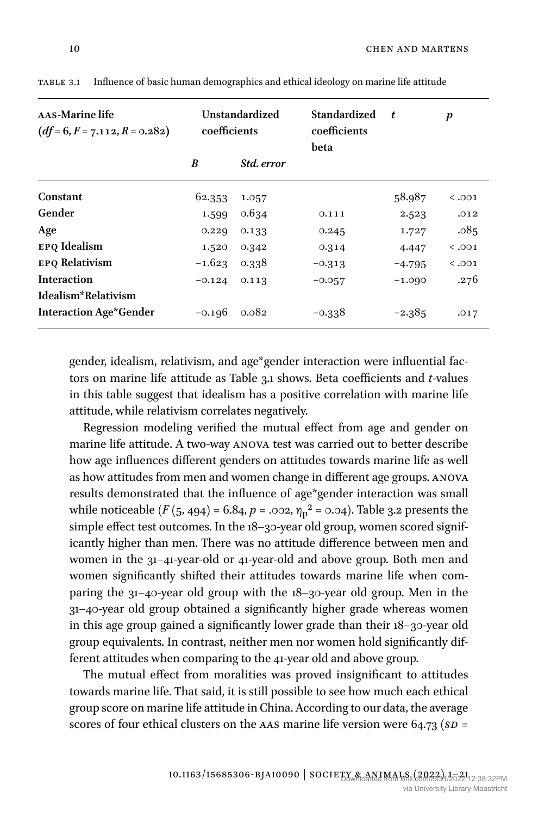| AAS-Marine life<br>$(df=6, F=7.112, R=0.282)$ | Unstandardized<br>coefficients |                   | <b>Standardized</b><br>coefficients<br>beta | $\boldsymbol{t}$ | p      |
|-----------------------------------------------|--------------------------------|-------------------|---------------------------------------------|------------------|--------|
|                                               | B                              | <i>Std. error</i> |                                             |                  |        |
| Constant                                      | 62.353                         | 1.057             |                                             | 58.987           | < .001 |
| Gender                                        | 1.599                          | 0.634             | 0.111                                       | 2.523            | .012   |
| Age                                           | 0.229                          | 0.133             | 0.245                                       | 1.727            | .085   |
| EPO Idealism                                  | 1.520                          | 0.342             | 0.314                                       | 4.447            | < .001 |
| <b>EPO Relativism</b>                         | $-1.623$                       | 0.338             | $-0.313$                                    | $-4.795$         | < .001 |
| <b>Interaction</b>                            | $-0.124$                       | 0.113             | $-0.057$                                    | $-1.090$         | .276   |
| Idealism*Relativism                           |                                |                   |                                             |                  |        |
| <b>Interaction Age*Gender</b>                 | $-0.196$                       | 0.082             | $-0.338$                                    | $-2.385$         | .017   |

Table 3.1 Influence of basic human demographics and ethical ideology on marine life attitude

gender, idealism, relativism, and age\*gender interaction were influential factors on marine life attitude as Table 3.1 shows. Beta coefficients and *t*-values in this table suggest that idealism has a positive correlation with marine life attitude, while relativism correlates negatively.

Regression modeling verified the mutual effect from age and gender on marine life attitude. A two-way ANOVA test was carried out to better describe how age influences different genders on attitudes towards marine life as well as how attitudes from men and women change in different age groups. ANOVA results demonstrated that the influence of age\*gender interaction was small while noticeable (*F* (5, 494) = 6.84, *p* = .002,  $η<sub>p</sub><sup>2</sup>$  = 0.04). Table 3.2 presents the simple effect test outcomes. In the 18–30-year old group, women scored significantly higher than men. There was no attitude difference between men and women in the 31–41-year-old or 41-year-old and above group. Both men and women significantly shifted their attitudes towards marine life when comparing the 31–40-year old group with the 18–30-year old group. Men in the 31–40-year old group obtained a significantly higher grade whereas women in this age group gained a significantly lower grade than their 18–30-year old group equivalents. In contrast, neither men nor women hold significantly different attitudes when comparing to the 41-year old and above group.

The mutual effect from moralities was proved insignificant to attitudes towards marine life. That said, it is still possible to see how much each ethical group score on marine life attitude in China. According to our data, the average scores of four ethical clusters on the AAS marine life version were 64.73 (*SD* =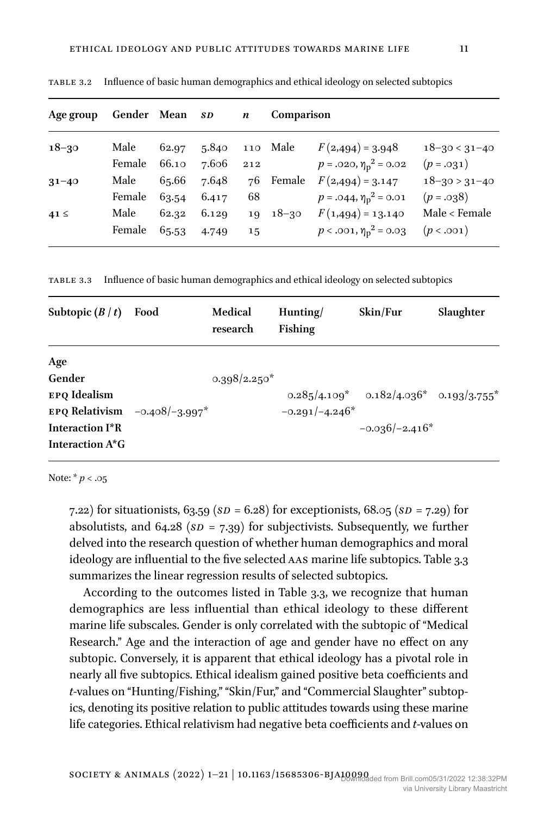| Age group | Gender Mean |       | SD <sub>3</sub> | $\boldsymbol{n}$ | <b>Comparison</b> |                             |                     |
|-----------|-------------|-------|-----------------|------------------|-------------------|-----------------------------|---------------------|
| $18 - 30$ | Male        | 62.97 | 5.840 110 Male  |                  |                   | $F(2,494) = 3.948$          | $18 - 30 < 31 - 40$ |
|           | Female      | 66.10 | 7.606           | 212              |                   | $p = .020, \eta_p^2 = 0.02$ | $(p = .031)$        |
| $31 - 40$ | Male        | 65.66 | 7.648           |                  | 76 Female         | $F(2,494) = 3.147$          | $18 - 30 > 31 - 40$ |
|           | Female      | 63.54 | 6.417           | 68               |                   | $p = .044, \eta_p^2 = 0.01$ | $(p=.038)$          |
| $41 \leq$ | Male        | 62.32 | 6.129           |                  | $19 \t18-30$      | $F(1,494) = 13.140$         | Male < Female       |
|           | Female      | 65.53 | 4.749           | 15               |                   | $p < .001, \eta_p^2 = 0.03$ | (p < .001)          |

Table 3.2 Influence of basic human demographics and ethical ideology on selected subtopics

Table 3.3 Influence of basic human demographics and ethical ideology on selected subtopics

| Subtopic $(B / t)$                                           | Food             | Medical<br>research | Hunting/<br>Fishing | Skin/Fur                                        | Slaughter |
|--------------------------------------------------------------|------------------|---------------------|---------------------|-------------------------------------------------|-----------|
| Age                                                          |                  |                     |                     |                                                 |           |
| Gender                                                       |                  | $0.398/2.250*$      |                     |                                                 |           |
| EPO Idealism                                                 |                  |                     |                     | $0.285/4.109^*$ $0.182/4.036^*$ $0.193/3.755^*$ |           |
| EPO Relativism                                               | $-0.408/-3.997*$ |                     | $-0.291/-4.246*$    |                                                 |           |
| Interaction I <sup>*</sup> R<br>Interaction A <sup>*</sup> G |                  |                     |                     | $-0.036/-2.416*$                                |           |

Note: \* *p* < .05

7.22) for situationists, 63.59 (*SD* = 6.28) for exceptionists, 68.05 (*SD* = 7.29) for absolutists, and 64.28 (*SD* = 7.39) for subjectivists. Subsequently, we further delved into the research question of whether human demographics and moral ideology are influential to the five selected AAS marine life subtopics. Table 3.3 summarizes the linear regression results of selected subtopics.

According to the outcomes listed in Table 3.3, we recognize that human demographics are less influential than ethical ideology to these different marine life subscales. Gender is only correlated with the subtopic of "Medical Research." Age and the interaction of age and gender have no effect on any subtopic. Conversely, it is apparent that ethical ideology has a pivotal role in nearly all five subtopics. Ethical idealism gained positive beta coefficients and *t*-values on "Hunting/Fishing," "Skin/Fur," and "Commercial Slaughter" subtopics, denoting its positive relation to public attitudes towards using these marine life categories. Ethical relativism had negative beta coefficients and *t*-values on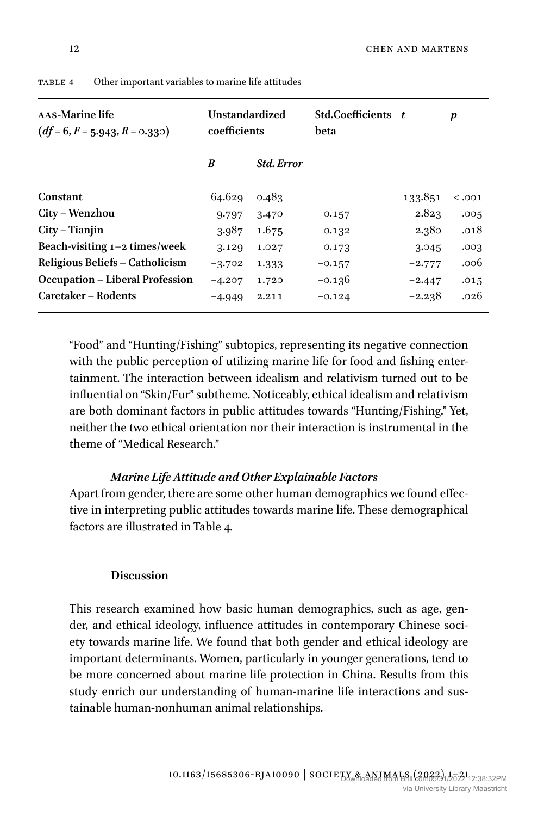| AAS-Marine life<br>$(df=6, F=5.943, R=0.330)$ | Unstandardized<br>coefficients |                   | Std.Coefficients t<br>beta |          | p      |
|-----------------------------------------------|--------------------------------|-------------------|----------------------------|----------|--------|
|                                               | B                              | <b>Std. Error</b> |                            |          |        |
| Constant                                      | 64.629                         | 0.483             |                            | 133.851  | < .001 |
| City – Wenzhou                                | 9.797                          | 3.470             | 0.157                      | 2.823    | .005   |
| $City$ – Tianjin                              | 3.987                          | 1.675             | 0.132                      | 2.380    | .018   |
| Beach-visiting $1-2$ times/week               | 3.129                          | 1.027             | 0.173                      | 3.045    | .003   |
| Religious Beliefs – Catholicism               | $-3.702$                       | 1.333             | $-0.157$                   | $-2.777$ | .006   |
| <b>Occupation – Liberal Profession</b>        | $-4.207$                       | 1.720             | $-0.136$                   | $-2.447$ | .015   |
| Caretaker – Rodents                           | $-4.949$                       | 2.211             | $-0.124$                   | $-2.238$ | .026   |

Table 4 Other important variables to marine life attitudes

"Food" and "Hunting/Fishing" subtopics, representing its negative connection with the public perception of utilizing marine life for food and fishing entertainment. The interaction between idealism and relativism turned out to be influential on "Skin/Fur" subtheme. Noticeably, ethical idealism and relativism are both dominant factors in public attitudes towards "Hunting/Fishing." Yet, neither the two ethical orientation nor their interaction is instrumental in the theme of "Medical Research."

# *Marine Life Attitude and Other Explainable Factors*

Apart from gender, there are some other human demographics we found effective in interpreting public attitudes towards marine life. These demographical factors are illustrated in Table 4.

# **Discussion**

This research examined how basic human demographics, such as age, gender, and ethical ideology, influence attitudes in contemporary Chinese society towards marine life. We found that both gender and ethical ideology are important determinants. Women, particularly in younger generations, tend to be more concerned about marine life protection in China. Results from this study enrich our understanding of human-marine life interactions and sustainable human-nonhuman animal relationships.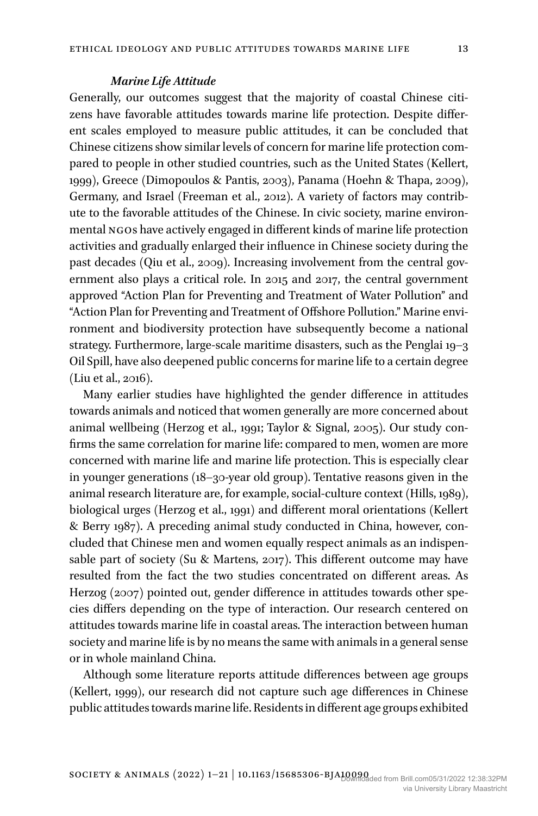#### *Marine Life Attitude*

Generally, our outcomes suggest that the majority of coastal Chinese citizens have favorable attitudes towards marine life protection. Despite different scales employed to measure public attitudes, it can be concluded that Chinese citizens show similar levels of concern for marine life protection compared to people in other studied countries, such as the United States (Kellert, 1999), Greece (Dimopoulos & Pantis, 2003), Panama (Hoehn & Thapa, 2009), Germany, and Israel (Freeman et al., 2012). A variety of factors may contribute to the favorable attitudes of the Chinese. In civic society, marine environmental NGOs have actively engaged in different kinds of marine life protection activities and gradually enlarged their influence in Chinese society during the past decades (Qiu et al., 2009). Increasing involvement from the central government also plays a critical role. In 2015 and 2017, the central government approved "Action Plan for Preventing and Treatment of Water Pollution" and "Action Plan for Preventing and Treatment of Offshore Pollution." Marine environment and biodiversity protection have subsequently become a national strategy. Furthermore, large-scale maritime disasters, such as the Penglai 19–3 Oil Spill, have also deepened public concerns for marine life to a certain degree (Liu et al., 2016).

Many earlier studies have highlighted the gender difference in attitudes towards animals and noticed that women generally are more concerned about animal wellbeing (Herzog et al., 1991; Taylor & Signal, 2005). Our study confirms the same correlation for marine life: compared to men, women are more concerned with marine life and marine life protection. This is especially clear in younger generations (18–30-year old group). Tentative reasons given in the animal research literature are, for example, social-culture context (Hills, 1989), biological urges (Herzog et al., 1991) and different moral orientations (Kellert & Berry 1987). A preceding animal study conducted in China, however, concluded that Chinese men and women equally respect animals as an indispensable part of society (Su & Martens, 2017). This different outcome may have resulted from the fact the two studies concentrated on different areas. As Herzog (2007) pointed out, gender difference in attitudes towards other species differs depending on the type of interaction. Our research centered on attitudes towards marine life in coastal areas. The interaction between human society and marine life is by no means the same with animals in a general sense or in whole mainland China.

Although some literature reports attitude differences between age groups (Kellert, 1999), our research did not capture such age differences in Chinese public attitudes towards marine life. Residents in different age groups exhibited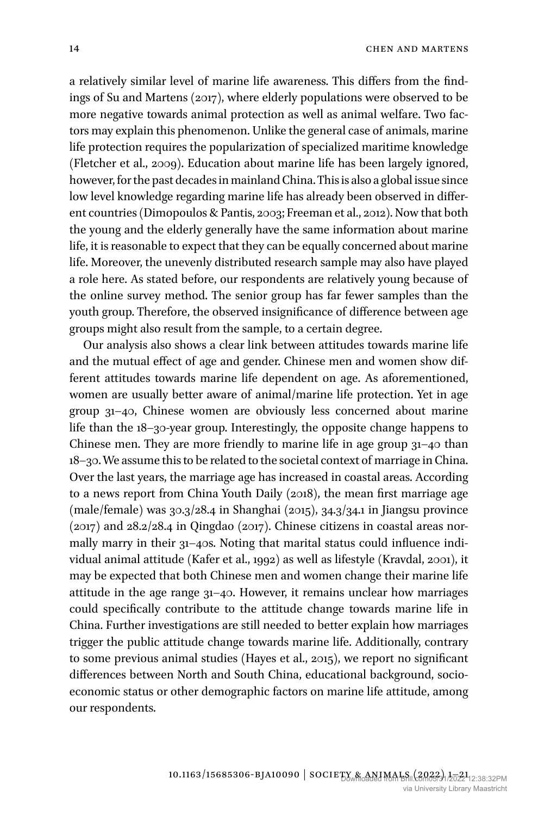a relatively similar level of marine life awareness. This differs from the findings of Su and Martens (2017), where elderly populations were observed to be more negative towards animal protection as well as animal welfare. Two factors may explain this phenomenon. Unlike the general case of animals, marine life protection requires the popularization of specialized maritime knowledge (Fletcher et al., 2009). Education about marine life has been largely ignored, however, for the past decades in mainland China. This is also a global issue since low level knowledge regarding marine life has already been observed in different countries (Dimopoulos & Pantis, 2003; Freeman et al., 2012). Now that both the young and the elderly generally have the same information about marine life, it is reasonable to expect that they can be equally concerned about marine life. Moreover, the unevenly distributed research sample may also have played a role here. As stated before, our respondents are relatively young because of the online survey method. The senior group has far fewer samples than the youth group. Therefore, the observed insignificance of difference between age groups might also result from the sample, to a certain degree.

Our analysis also shows a clear link between attitudes towards marine life and the mutual effect of age and gender. Chinese men and women show different attitudes towards marine life dependent on age. As aforementioned, women are usually better aware of animal/marine life protection. Yet in age group 31–40, Chinese women are obviously less concerned about marine life than the 18–30-year group. Interestingly, the opposite change happens to Chinese men. They are more friendly to marine life in age group 31–40 than 18–30. We assume this to be related to the societal context of marriage in China. Over the last years, the marriage age has increased in coastal areas. According to a news report from China Youth Daily (2018), the mean first marriage age (male/female) was 30.3/28.4 in Shanghai (2015), 34.3/34.1 in Jiangsu province (2017) and 28.2/28.4 in Qingdao (2017). Chinese citizens in coastal areas normally marry in their 31–40s. Noting that marital status could influence individual animal attitude (Kafer et al., 1992) as well as lifestyle (Kravdal, 2001), it may be expected that both Chinese men and women change their marine life attitude in the age range 31–40. However, it remains unclear how marriages could specifically contribute to the attitude change towards marine life in China. Further investigations are still needed to better explain how marriages trigger the public attitude change towards marine life. Additionally, contrary to some previous animal studies (Hayes et al., 2015), we report no significant differences between North and South China, educational background, socioeconomic status or other demographic factors on marine life attitude, among our respondents.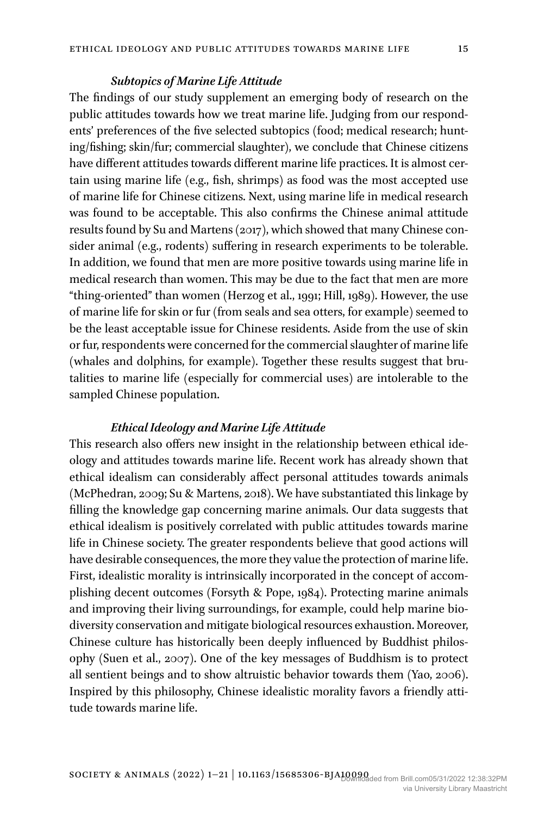## *Subtopics of Marine Life Attitude*

The findings of our study supplement an emerging body of research on the public attitudes towards how we treat marine life. Judging from our respondents' preferences of the five selected subtopics (food; medical research; hunting/fishing; skin/fur; commercial slaughter), we conclude that Chinese citizens have different attitudes towards different marine life practices. It is almost certain using marine life (e.g., fish, shrimps) as food was the most accepted use of marine life for Chinese citizens. Next, using marine life in medical research was found to be acceptable. This also confirms the Chinese animal attitude results found by Su and Martens (2017), which showed that many Chinese consider animal (e.g., rodents) suffering in research experiments to be tolerable. In addition, we found that men are more positive towards using marine life in medical research than women. This may be due to the fact that men are more "thing-oriented" than women (Herzog et al., 1991; Hill, 1989). However, the use of marine life for skin or fur (from seals and sea otters, for example) seemed to be the least acceptable issue for Chinese residents. Aside from the use of skin or fur, respondents were concerned for the commercial slaughter of marine life (whales and dolphins, for example). Together these results suggest that brutalities to marine life (especially for commercial uses) are intolerable to the sampled Chinese population.

# *Ethical Ideology and Marine Life Attitude*

This research also offers new insight in the relationship between ethical ideology and attitudes towards marine life. Recent work has already shown that ethical idealism can considerably affect personal attitudes towards animals (McPhedran, 2009; Su & Martens, 2018). We have substantiated this linkage by filling the knowledge gap concerning marine animals. Our data suggests that ethical idealism is positively correlated with public attitudes towards marine life in Chinese society. The greater respondents believe that good actions will have desirable consequences, the more they value the protection of marine life. First, idealistic morality is intrinsically incorporated in the concept of accomplishing decent outcomes (Forsyth & Pope, 1984). Protecting marine animals and improving their living surroundings, for example, could help marine biodiversity conservation and mitigate biological resources exhaustion. Moreover, Chinese culture has historically been deeply influenced by Buddhist philosophy (Suen et al., 2007). One of the key messages of Buddhism is to protect all sentient beings and to show altruistic behavior towards them (Yao, 2006). Inspired by this philosophy, Chinese idealistic morality favors a friendly attitude towards marine life.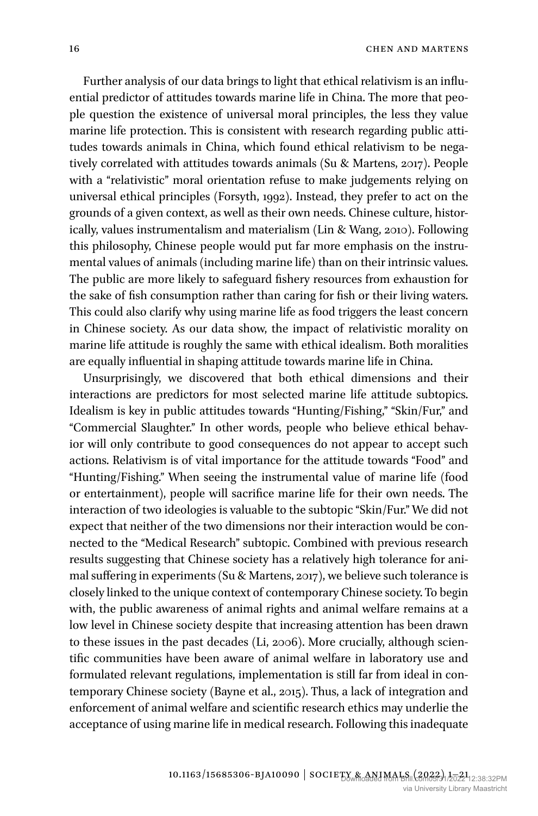Further analysis of our data brings to light that ethical relativism is an influential predictor of attitudes towards marine life in China. The more that people question the existence of universal moral principles, the less they value marine life protection. This is consistent with research regarding public attitudes towards animals in China, which found ethical relativism to be negatively correlated with attitudes towards animals (Su & Martens, 2017). People with a "relativistic" moral orientation refuse to make judgements relying on universal ethical principles (Forsyth, 1992). Instead, they prefer to act on the grounds of a given context, as well as their own needs. Chinese culture, historically, values instrumentalism and materialism (Lin & Wang, 2010). Following this philosophy, Chinese people would put far more emphasis on the instrumental values of animals (including marine life) than on their intrinsic values. The public are more likely to safeguard fishery resources from exhaustion for the sake of fish consumption rather than caring for fish or their living waters. This could also clarify why using marine life as food triggers the least concern in Chinese society. As our data show, the impact of relativistic morality on marine life attitude is roughly the same with ethical idealism. Both moralities are equally influential in shaping attitude towards marine life in China.

Unsurprisingly, we discovered that both ethical dimensions and their interactions are predictors for most selected marine life attitude subtopics. Idealism is key in public attitudes towards "Hunting/Fishing," "Skin/Fur," and "Commercial Slaughter." In other words, people who believe ethical behavior will only contribute to good consequences do not appear to accept such actions. Relativism is of vital importance for the attitude towards "Food" and "Hunting/Fishing." When seeing the instrumental value of marine life (food or entertainment), people will sacrifice marine life for their own needs. The interaction of two ideologies is valuable to the subtopic "Skin/Fur." We did not expect that neither of the two dimensions nor their interaction would be connected to the "Medical Research" subtopic. Combined with previous research results suggesting that Chinese society has a relatively high tolerance for animal suffering in experiments (Su & Martens, 2017), we believe such tolerance is closely linked to the unique context of contemporary Chinese society. To begin with, the public awareness of animal rights and animal welfare remains at a low level in Chinese society despite that increasing attention has been drawn to these issues in the past decades (Li, 2006). More crucially, although scientific communities have been aware of animal welfare in laboratory use and formulated relevant regulations, implementation is still far from ideal in contemporary Chinese society (Bayne et al., 2015). Thus, a lack of integration and enforcement of animal welfare and scientific research ethics may underlie the acceptance of using marine life in medical research. Following this inadequate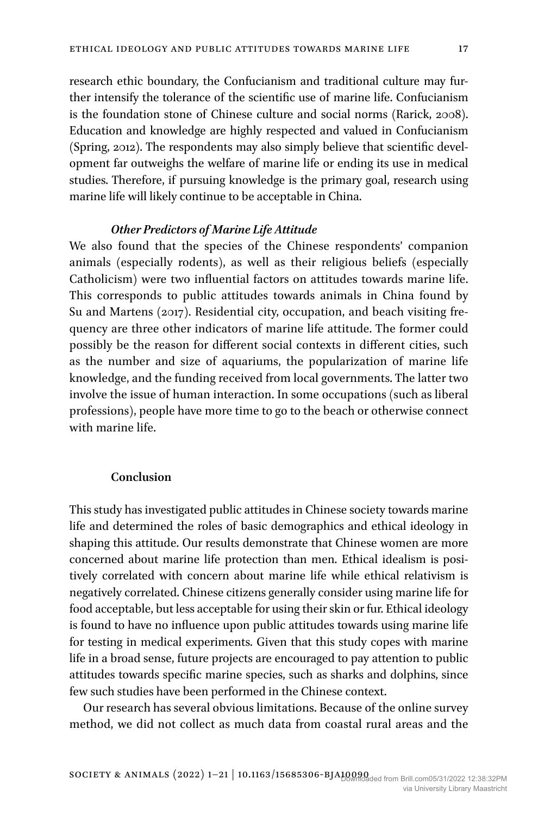research ethic boundary, the Confucianism and traditional culture may further intensify the tolerance of the scientific use of marine life. Confucianism is the foundation stone of Chinese culture and social norms (Rarick, 2008). Education and knowledge are highly respected and valued in Confucianism (Spring, 2012). The respondents may also simply believe that scientific development far outweighs the welfare of marine life or ending its use in medical studies. Therefore, if pursuing knowledge is the primary goal, research using marine life will likely continue to be acceptable in China.

## *Other Predictors of Marine Life Attitude*

We also found that the species of the Chinese respondents' companion animals (especially rodents), as well as their religious beliefs (especially Catholicism) were two influential factors on attitudes towards marine life. This corresponds to public attitudes towards animals in China found by Su and Martens (2017). Residential city, occupation, and beach visiting frequency are three other indicators of marine life attitude. The former could possibly be the reason for different social contexts in different cities, such as the number and size of aquariums, the popularization of marine life knowledge, and the funding received from local governments. The latter two involve the issue of human interaction. In some occupations (such as liberal professions), people have more time to go to the beach or otherwise connect with marine life.

## **Conclusion**

This study has investigated public attitudes in Chinese society towards marine life and determined the roles of basic demographics and ethical ideology in shaping this attitude. Our results demonstrate that Chinese women are more concerned about marine life protection than men. Ethical idealism is positively correlated with concern about marine life while ethical relativism is negatively correlated. Chinese citizens generally consider using marine life for food acceptable, but less acceptable for using their skin or fur. Ethical ideology is found to have no influence upon public attitudes towards using marine life for testing in medical experiments. Given that this study copes with marine life in a broad sense, future projects are encouraged to pay attention to public attitudes towards specific marine species, such as sharks and dolphins, since few such studies have been performed in the Chinese context.

Our research has several obvious limitations. Because of the online survey method, we did not collect as much data from coastal rural areas and the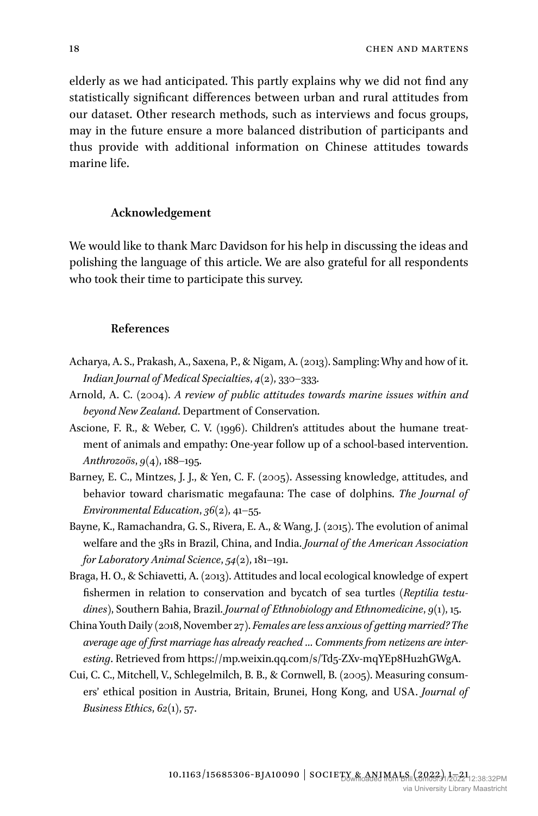elderly as we had anticipated. This partly explains why we did not find any statistically significant differences between urban and rural attitudes from our dataset. Other research methods, such as interviews and focus groups, may in the future ensure a more balanced distribution of participants and thus provide with additional information on Chinese attitudes towards marine life.

#### **Acknowledgement**

We would like to thank Marc Davidson for his help in discussing the ideas and polishing the language of this article. We are also grateful for all respondents who took their time to participate this survey.

#### **References**

- Acharya, A. S., Prakash, A., Saxena, P., & Nigam, A. (2013). Sampling: Why and how of it. *Indian Journal of Medical Specialties*, *4*(2), 330–333.
- Arnold, A. C. (2004). *A review of public attitudes towards marine issues within and beyond New Zealand*. Department of Conservation.
- Ascione, F. R., & Weber, C. V. (1996). Children's attitudes about the humane treatment of animals and empathy: One-year follow up of a school-based intervention. *Anthrozoös*, *9*(4), 188–195.
- Barney, E. C., Mintzes, J. J., & Yen, C. F. (2005). Assessing knowledge, attitudes, and behavior toward charismatic megafauna: The case of dolphins. *The Journal of Environmental Education*, *36*(2), 41–55.
- Bayne, K., Ramachandra, G. S., Rivera, E. A., & Wang, J. (2015). The evolution of animal welfare and the 3Rs in Brazil, China, and India. *Journal of the American Association for Laboratory Animal Science*, *54*(2), 181–191.
- Braga, H. O., & Schiavetti, A. (2013). Attitudes and local ecological knowledge of expert fishermen in relation to conservation and bycatch of sea turtles (*Reptilia testudines*), Southern Bahia, Brazil. *Journal of Ethnobiology and Ethnomedicine*, *9*(1), 15.
- China Youth Daily (2018, November 27). *Females are less anxious of getting married? The average age of first marriage has already reached … Comments from netizens are interesting*. Retrieved from [https://mp.weixin.qq.com/s/Td5-ZXv-mqYEp8Hu2hGWgA.](https://mp.weixin.qq.com/s/Td5-ZXv-mqYEp8Hu2hGWgA)
- Cui, C. C., Mitchell, V., Schlegelmilch, B. B., & Cornwell, B. (2005). Measuring consumers' ethical position in Austria, Britain, Brunei, Hong Kong, and USA. *Journal of Business Ethics*, *62*(1), 57.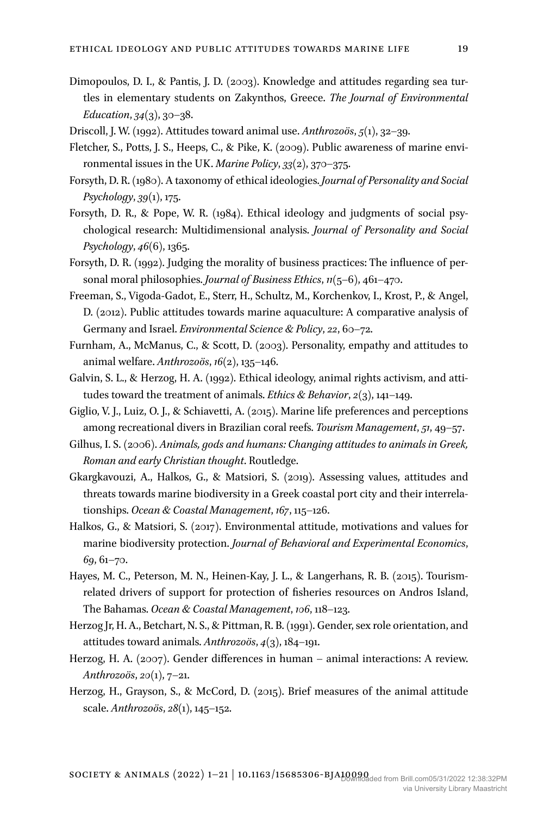- Dimopoulos, D. I., & Pantis, J. D. (2003). Knowledge and attitudes regarding sea turtles in elementary students on Zakynthos, Greece. *The Journal of Environmental Education*, *34*(3), 30–38.
- Driscoll, J. W. (1992). Attitudes toward animal use. *Anthrozoös*, *5*(1), 32–39.
- Fletcher, S., Potts, J. S., Heeps, C., & Pike, K. (2009). Public awareness of marine environmental issues in the UK. *Marine Policy*, *33*(2), 370–375.
- Forsyth, D. R. (1980). A taxonomy of ethical ideologies. *Journal of Personality and Social Psychology*, *39*(1), 175.
- Forsyth, D. R., & Pope, W. R. (1984). Ethical ideology and judgments of social psychological research: Multidimensional analysis. *Journal of Personality and Social Psychology*, *46*(6), 1365.
- Forsyth, D. R. (1992). Judging the morality of business practices: The influence of personal moral philosophies. *Journal of Business Ethics*, *11*(5–6), 461–470.
- Freeman, S., Vigoda-Gadot, E., Sterr, H., Schultz, M., Korchenkov, I., Krost, P., & Angel, D. (2012). Public attitudes towards marine aquaculture: A comparative analysis of Germany and Israel. *Environmental Science & Policy*, *22*, 60–72.
- Furnham, A., McManus, C., & Scott, D. (2003). Personality, empathy and attitudes to animal welfare. *Anthrozoös*, *16*(2), 135–146.
- Galvin, S. L., & Herzog, H. A. (1992). Ethical ideology, animal rights activism, and attitudes toward the treatment of animals. *Ethics & Behavior*, *2*(3), 141–149.
- Giglio, V. J., Luiz, O. J., & Schiavetti, A. (2015). Marine life preferences and perceptions among recreational divers in Brazilian coral reefs. *Tourism Management*, *51*, 49–57.
- Gilhus, I. S. (2006). *Animals, gods and humans: Changing attitudes to animals in Greek, Roman and early Christian thought*. Routledge.
- Gkargkavouzi, A., Halkos, G., & Matsiori, S. (2019). Assessing values, attitudes and threats towards marine biodiversity in a Greek coastal port city and their interrelationships. *Ocean & Coastal Management*, *167*, 115–126.
- Halkos, G., & Matsiori, S. (2017). Environmental attitude, motivations and values for marine biodiversity protection. *Journal of Behavioral and Experimental Economics*, *69*, 61–70.
- Hayes, M. C., Peterson, M. N., Heinen-Kay, J. L., & Langerhans, R. B. (2015). Tourismrelated drivers of support for protection of fisheries resources on Andros Island, The Bahamas. *Ocean & Coastal Management*, *106*, 118–123.
- Herzog Jr, H. A., Betchart, N. S., & Pittman, R. B. (1991). Gender, sex role orientation, and attitudes toward animals. *Anthrozoös*, *4*(3), 184–191.
- Herzog, H. A. (2007). Gender differences in human animal interactions: A review. *Anthrozoös*, *20*(1), 7–21.
- Herzog, H., Grayson, S., & McCord, D. (2015). Brief measures of the animal attitude scale. *Anthrozoös*, *28*(1), 145–152.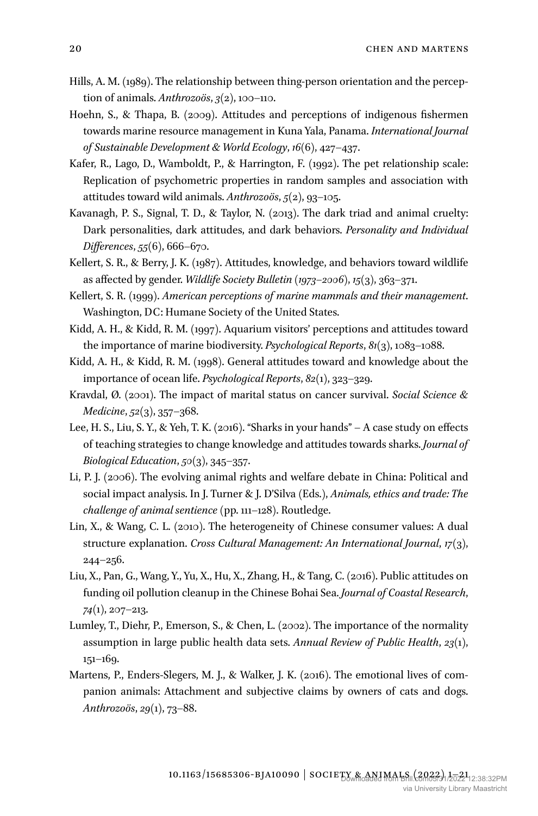- Hills, A. M. (1989). The relationship between thing-person orientation and the perception of animals. *Anthrozoös*, *3*(2), 100–110.
- Hoehn, S., & Thapa, B. (2009). Attitudes and perceptions of indigenous fishermen towards marine resource management in Kuna Yala, Panama. *International Journal of Sustainable Development & World Ecology*, *16*(6), 427–437.
- Kafer, R., Lago, D., Wamboldt, P., & Harrington, F. (1992). The pet relationship scale: Replication of psychometric properties in random samples and association with attitudes toward wild animals. *Anthrozoös*, *5*(2), 93–105.
- Kavanagh, P. S., Signal, T. D., & Taylor, N. (2013). The dark triad and animal cruelty: Dark personalities, dark attitudes, and dark behaviors. *Personality and Individual Differences*, *55*(6), 666–670.
- Kellert, S. R., & Berry, J. K. (1987). Attitudes, knowledge, and behaviors toward wildlife as affected by gender. *Wildlife Society Bulletin (1973–2006)*, *15*(3), 363–371.
- Kellert, S. R. (1999). *American perceptions of marine mammals and their management*. Washington, DC: Humane Society of the United States.
- Kidd, A. H., & Kidd, R. M. (1997). Aquarium visitors' perceptions and attitudes toward the importance of marine biodiversity. *Psychological Reports*, *81*(3), 1083–1088.
- Kidd, A. H., & Kidd, R. M. (1998). General attitudes toward and knowledge about the importance of ocean life. *Psychological Reports*, *82*(1), 323–329.
- Kravdal, Ø. (2001). The impact of marital status on cancer survival. *Social Science & Medicine*, *52*(3), 357–368.
- Lee, H. S., Liu, S. Y., & Yeh, T. K. (2016). "Sharks in your hands" A case study on effects of teaching strategies to change knowledge and attitudes towards sharks. *Journal of Biological Education*, *50*(3), 345–357.
- Li, P. J. (2006). The evolving animal rights and welfare debate in China: Political and social impact analysis. In J. Turner & J. D'Silva (Eds.), *Animals, ethics and trade: The challenge of animal sentience* (pp. 111–128). Routledge.
- Lin, X., & Wang, C. L. (2010). The heterogeneity of Chinese consumer values: A dual structure explanation. *Cross Cultural Management: An International Journal*, *17*(3), 244–256.
- Liu, X., Pan, G., Wang, Y., Yu, X., Hu, X., Zhang, H., & Tang, C. (2016). Public attitudes on funding oil pollution cleanup in the Chinese Bohai Sea. *Journal of Coastal Research*, *74*(1), 207–213.
- Lumley, T., Diehr, P., Emerson, S., & Chen, L. (2002). The importance of the normality assumption in large public health data sets. *Annual Review of Public Health*, *23*(1), 151–169.
- Martens, P., Enders-Slegers, M. J., & Walker, J. K. (2016). The emotional lives of companion animals: Attachment and subjective claims by owners of cats and dogs. *Anthrozoös*, *29*(1), 73–88.